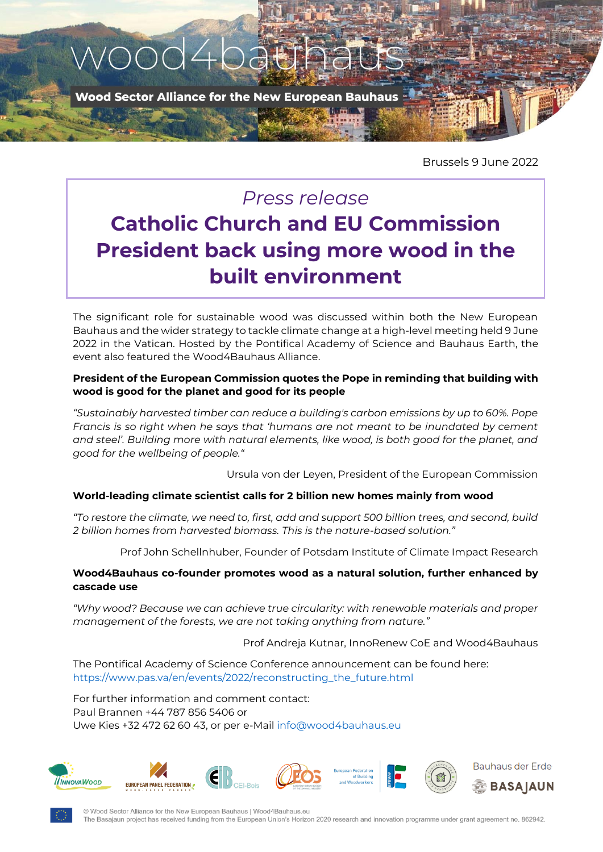

Brussels 9 June 2022

## *Press release* **Catholic Church and EU Commission President back using more wood in the built environment**

The significant role for sustainable wood was discussed within both the New European Bauhaus and the wider strategy to tackle climate change at a high-level meeting held 9 June 2022 in the Vatican. Hosted by the Pontifical Academy of Science and Bauhaus Earth, the event also featured the Wood4Bauhaus Alliance.

## **President of the European Commission quotes the Pope in reminding that building with wood is good for the planet and good for its people**

*"Sustainably harvested timber can reduce a building's carbon emissions by up to 60%. Pope Francis is so right when he says that 'humans are not meant to be inundated by cement and steel'. Building more with natural elements, like wood, is both good for the planet, and good for the wellbeing of people."*

Ursula von der Leyen, President of the European Commission

## **World-leading climate scientist calls for 2 billion new homes mainly from wood**

*"To restore the climate, we need to, first, add and support 500 billion trees, and second, build 2 billion homes from harvested biomass. This is the nature-based solution."*

Prof John Schellnhuber, Founder of Potsdam Institute of Climate Impact Research

## **Wood4Bauhaus co-founder promotes wood as a natural solution, further enhanced by cascade use**

*"Why wood? Because we can achieve true circularity: with renewable materials and proper management of the forests, we are not taking anything from nature."*

Prof Andreja Kutnar, InnoRenew CoE and Wood4Bauhaus

The Pontifical Academy of Science Conference announcement can be found here: [https://www.pas.va/en/events/2022/reconstructing\\_the\\_future.html](https://www.pas.va/en/events/2022/reconstructing_the_future.html)

For further information and comment contact: Paul Brannen +44 787 856 5406 or Uwe Kies +32 472 62 60 43, or per e-Mail [info@wood4bauhaus.eu](mailto:info@wood4bauhaus.eu)



© Wood Sector Alliance for the New European Bauhaus | Wood4Bauhaus.eu The Basajaun project has received funding from the European Union's Horizon 2020 research and innovation programme under grant agreement no. 862942.